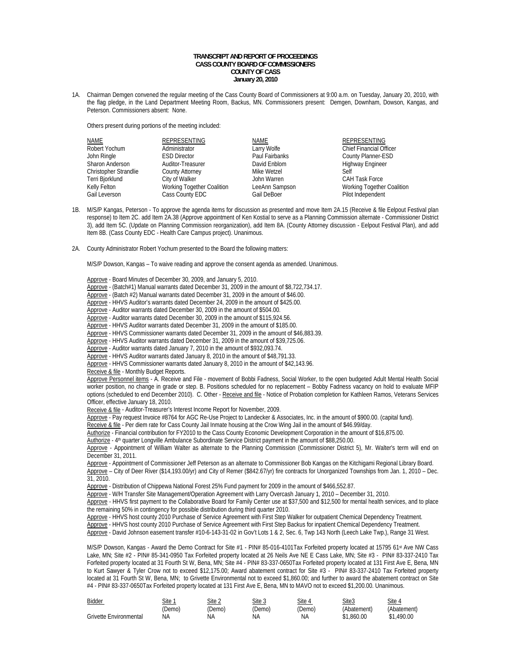## **TRANSCRIPT AND REPORT OF PROCEEDINGS CASS COUNTY BOARD OF COMMISSIONERS COUNTY OF CASS January 20, 2010**

1A. Chairman Demgen convened the regular meeting of the Cass County Board of Commissioners at 9:00 a.m. on Tuesday, January 20, 2010, with the flag pledge, in the Land Department Meeting Room, Backus, MN. Commissioners present: Demgen, Downham, Dowson, Kangas, and Peterson. Commissioners absent: None.

Others present during portions of the meeting included:

| NAME                  | REPRESENTING               | NAME           | <b>REPRESENTING</b>            |
|-----------------------|----------------------------|----------------|--------------------------------|
| Robert Yochum         | Administrator              | Larry Wolfe    | <b>Chief Financial Officer</b> |
| John Ringle           | <b>ESD Director</b>        | Paul Fairbanks | County Planner-ESD             |
| Sharon Anderson       | Auditor-Treasurer          | David Enblom   | Highway Engineer               |
| Christopher Strandlie | <b>County Attorney</b>     | Mike Wetzel    | Self                           |
| Terri Bjorklund       | City of Walker             | John Warren    | <b>CAH Task Force</b>          |
| Kelly Felton          | Working Together Coalition | LeeAnn Sampson | Working Together Coalition     |
| Gail Leverson         | Cass County EDC            | Gail DeBoer    | Pilot Independent              |

- 1B. M/S/P Kangas, Peterson To approve the agenda items for discussion as presented and move Item 2A.15 (Receive & file Eelpout Festival plan response) to Item 2C. add Item 2A.38 (Approve appointment of Ken Kostial to serve as a Planning Commission alternate - Commissioner District 3), add Item 5C. (Update on Planning Commission reorganization), add Item 8A. (County Attorney discussion - Eelpout Festival Plan), and add Item 8B. (Cass County EDC - Health Care Campus project). Unanimous.
- 2A. County Administrator Robert Yochum presented to the Board the following matters:

M/S/P Dowson, Kangas – To waive reading and approve the consent agenda as amended. Unanimous.

Approve - Board Minutes of December 30, 2009, and January 5, 2010.

- Approve (Batch#1) Manual warrants dated December 31, 2009 in the amount of \$8,722,734.17.
- Approve (Batch #2) Manual warrants dated December 31, 2009 in the amount of \$46.00.
- Approve HHVS Auditor's warrants dated December 24, 2009 in the amount of \$425.00.
- Approve Auditor warrants dated December 30, 2009 in the amount of \$504.00.
- Approve Auditor warrants dated December 30, 2009 in the amount of \$115,924.56.
- Approve HHVS Auditor warrants dated December 31, 2009 in the amount of \$185.00.
- Approve HHVS Commissioner warrants dated December 31, 2009 in the amount of \$46,883.39.
- Approve HHVS Auditor warrants dated December 31, 2009 in the amount of \$39,725.06.
- Approve Auditor warrants dated January 7, 2010 in the amount of \$932,093.74.
- Approve HHVS Auditor warrants dated January 8, 2010 in the amount of \$48,791.33.
- Approve HHVS Commissioner warrants dated January 8, 2010 in the amount of \$42,143.96.
- Receive & file Monthly Budget Reports.

Approve Personnel items - A. Receive and File - movement of Bobbi Fadness, Social Worker, to the open budgeted Adult Mental Health Social worker position, no change in grade or step. B. Positions scheduled for no replacement – Bobby Fadness vacancy on hold to evaluate MFIP options (scheduled to end December 2010). C. Other - Receive and file - Notice of Probation completion for Kathleen Ramos, Veterans Services Officer, effective January 18, 2010.

Receive & file - Auditor-Treasurer's Interest Income Report for November, 2009.

Approve - Pay request Invoice #8764 for AGC Re-Use Project to Landecker & Associates, Inc. in the amount of \$900.00. (capital fund).

- Receive & file Per diem rate for Cass County Jail Inmate housing at the Crow Wing Jail in the amount of \$46.99/day.
- Authorize Financial contribution for FY2010 to the Cass County Economic Development Corporation in the amount of \$16,875.00.

Authorize - 4<sup>th</sup> quarter Longville Ambulance Subordinate Service District payment in the amount of \$88,250.00.

 Approve - Appointment of William Walter as alternate to the Planning Commission (Commissioner District 5), Mr. Walter's term will end on December 31, 2011.

 Approve - Appointment of Commissioner Jeff Peterson as an alternate to Commissioner Bob Kangas on the Kitchigami Regional Library Board. Approve – City of Deer River (\$14,193.00/yr) and City of Remer (\$842.67/yr) fire contracts for Unorganized Townships from Jan. 1, 2010 – Dec. 31, 2010.

Approve - Distribution of Chippewa National Forest 25% Fund payment for 2009 in the amount of \$466,552.87.

Approve - W/H Transfer Site Management/Operation Agreement with Larry Overcash January 1, 2010 – December 31, 2010.

 Approve - HHVS first payment to the Collaborative Board for Family Center use at \$37,500 and \$12,500 for mental health services, and to place the remaining 50% in contingency for possible distribution during third quarter 2010.

Approve - HHVS host county 2010 Purchase of Service Agreement with First Step Walker for outpatient Chemical Dependency Treatment.

Approve - HHVS host county 2010 Purchase of Service Agreement with First Step Backus for inpatient Chemical Dependency Treatment.

Approve - David Johnson easement transfer #10-6-143-31-02 in Gov't Lots 1 & 2, Sec. 6, Twp 143 North (Leech Lake Twp.), Range 31 West.

M/S/P Dowson, Kangas - Award the Demo Contract for Site #1 - PIN# 85-016-4101Tax Forfeited property located at 15795 61st Ave NW Cass Lake, MN; Site #2 - PIN# 85-341-0950 Tax Forfeited property located at 26 Neils Ave NE E Cass Lake, MN; Site #3 - PIN# 83-337-2410 Tax Forfeited property located at 31 Fourth St W, Bena, MN; Site #4 - PIN# 83-337-0650Tax Forfeited property located at 131 First Ave E, Bena, MN to Kurt Sawyer & Tyler Crow not to exceed \$12,175.00; Award abatement contract for Site #3 - PIN# 83-337-2410 Tax Forfeited property located at 31 Fourth St W, Bena, MN; to Grivette Environmental not to exceed \$1,860.00; and further to award the abatement contract on Site #4 - PIN# 83-337-0650Tax Forfeited property located at 131 First Ave E, Bena, MN to MAVO not to exceed \$1,200.00. Unanimous.

| Bidder                 | Site 1 | Site 2 | Site 3 | Site   | Site3       | Site 4      |
|------------------------|--------|--------|--------|--------|-------------|-------------|
|                        | (Demo، | 'Demo) | (Demo) | (Demo) | (Abatement) | (Abatement) |
| Grivette Environmental | ΝA     | ΝA     | ΝA     | ΝA     | \$1.860.00  | .490.00     |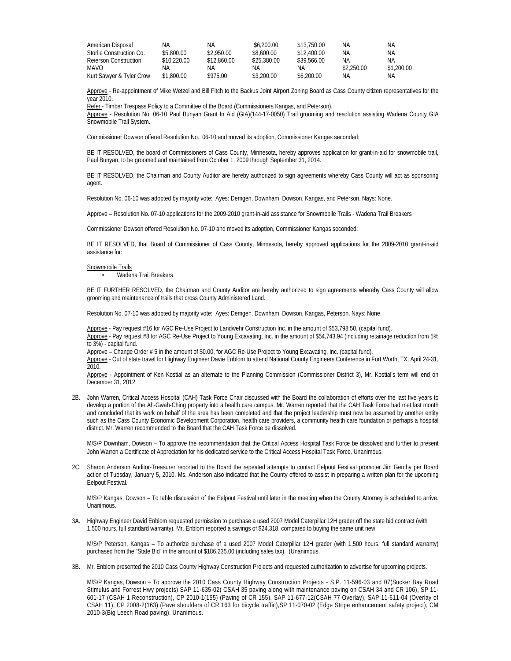| American Disposal        | ΝA          | ΝA          | \$6,200.00  | \$13,750.00 | NA.        | ΝA         |
|--------------------------|-------------|-------------|-------------|-------------|------------|------------|
| Storlie Construction Co. | \$5.800.00  | \$2,950.00  | \$8,600.00  | \$12,400.00 | NA.        | ΝA         |
| Rejerson Construction    | \$10.220.00 | \$12,860.00 | \$25,380.00 | \$39.566.00 | ΝA         | ΝA         |
| <b>MAVO</b>              | ΝA          | ΝA          | ΝA          | ΝA          | \$2,250.00 | \$1,200.00 |
| Kurt Sawyer & Tyler Crow | \$1,800.00  | \$975.00    | \$3,200.00  | \$6,200.00  | ΝA         | ΝA         |

 Approve - Re-appointment of Mike Wetzel and Bill Fitch to the Backus Joint Airport Zoning Board as Cass County citizen representatives for the year 2010.

Refer - Timber Trespass Policy to a Committee of the Board (Commissioners Kangas, and Peterson).

Approve - Resolution No. 06-10 Paul Bunyan Grant In Aid (GIA)(144-17-0050) Trail grooming and resolution assisting Wadena County GIA Snowmobile Trail System.

Commissioner Dowson offered Resolution No. 06-10 and moved its adoption, Commissioner Kangas seconded:

BE IT RESOLVED, the board of Commissioners of Cass County, Minnesota, hereby approves application for grant-in-aid for snowmobile trail, Paul Bunyan, to be groomed and maintained from October 1, 2009 through September 31, 2014.

BE IT RESOLVED, the Chairman and County Auditor are hereby authorized to sign agreements whereby Cass County will act as sponsoring agent.

Resolution No. 06-10 was adopted by majority vote: Ayes: Demgen, Downham, Dowson, Kangas, and Peterson. Nays: None.

Approve – Resolution No. 07-10 applications for the 2009-2010 grant-in-aid assistance for Snowmobile Trails - Wadena Trail Breakers

Commissioner Dowson offered Resolution No. 07-10 and moved its adoption, Commissioner Kangas seconded:

BE IT RESOLVED, that Board of Commissioner of Cass County, Minnesota, hereby approved applications for the 2009-2010 grant-in-aid assistance for:

## Snowmobile Trails

• Wadena Trail Breakers

BE IT FURTHER RESOLVED, the Chairman and County Auditor are hereby authorized to sign agreements whereby Cass County will allow grooming and maintenance of trails that cross County Administered Land.

Resolution No. 07-10 was adopted by majority vote: Ayes: Demgen, Downham, Dowson, Kangas, Peterson. Nays: None.

Approve - Pay request #16 for AGC Re-Use Project to Landwehr Construction Inc. in the amount of \$53,798.50. (capital fund). Approve - Pay request #8 for AGC Re-Use Project to Young Excavating, Inc. in the amount of \$54,743.94 (including retainage reduction from 5% to 3%) - capital fund.

Approve – Change Order # 5 in the amount of \$0.00, for AGC Re-Use Project to Young Excavating, Inc. (capital fund).

Approve - Out of state travel for Highway Engineer Davie Enblom to attend National County Engineers Conference in Fort Worth, TX, April 24-31, 2010.

 Approve - Appointment of Ken Kostial as an alternate to the Planning Commission (Commissioner District 3), Mr. Kostial's term will end on December 31, 2012.

2B. John Warren, Critical Access Hospital (CAH) Task Force Chair discussed with the Board the collaboration of efforts over the last five years to develop a portion of the Ah-Gwah-Ching property into a health care campus. Mr. Warren reported that the CAH Task Force had met last month and concluded that its work on behalf of the area has been completed and that the project leadership must now be assumed by another entity such as the Cass County Economic Development Corporation, health care providers, a community health care foundation or perhaps a hospital district. Mr. Warren recommended to the Board that the CAH Task Force be dissolved.

M/S/P Downham, Dowson – To approve the recommendation that the Critical Access Hospital Task Force be dissolved and further to present M/S/P Downham, Dowson – To approve the recommendation that the Critical Access Hospital Task Force be dissolved ar<br>John Warren a Certificate of Appreciation for his dedicated service to the Critical Access Hospital Task Fo

2C. Sharon Anderson Auditor-Treasurer reported to the Board the repeated attempts to contact Eelpout Festival promoter Jim Gerchy per Board action of Tuesday, January 5, 2010. Ms. Anderson also indicated that the County offered to assist in preparing a written plan for the upcoming Eelpout Festival.

 M/S/P Kangas, Dowson – To table discussion of the Eelpout Festival until later in the meeting when the County Attorney is scheduled to arrive. Unanimous.

3A. Highway Engineer David Enblom requested permission to purchase a used 2007 Model Caterpillar 12H grader off the state bid contract (with 1,500 hours, full standard warranty). Mr. Enblom reported a savings of \$24,318. compared to buying the same unit new.

M/S/P Peterson, Kangas – To authorize purchase of a used 2007 Model Caterpillar 12H grader (with 1,500 hours, full standard warranty) purchased from the "State Bid" in the amount of \$186,235.00 (including sales tax). (Unanimous.

3B. Mr. Enblom presented the 2010 Cass County Highway Construction Projects and requested authorization to advertise for upcoming projects.

M/S/P Kangas, Dowson – To approve the 2010 Cass County Highway Construction Projects - S.P. 11-596-03 and 07(Sucker Bay Road Stimulus and Forrest Hwy projects),SAP 11-635-02( CSAH 35 paving along with maintenance paving on CSAH 34 and CR 106), SP 11- 601-17 (CSAH 1 Reconstruction), CP 2010-1(155) (Paving of CR 155), SAP 11-677-12(CSAH 77 Overlay), SAP 11-611-04 (Overlay of CSAH 11), CP 2008-2(163) (Pave shoulders of CR 163 for bicycle traffic),SP 11-070-02 (Edge Stripe enhancement safety project), CM 2010-3(Big Leech Road paving). Unanimous.